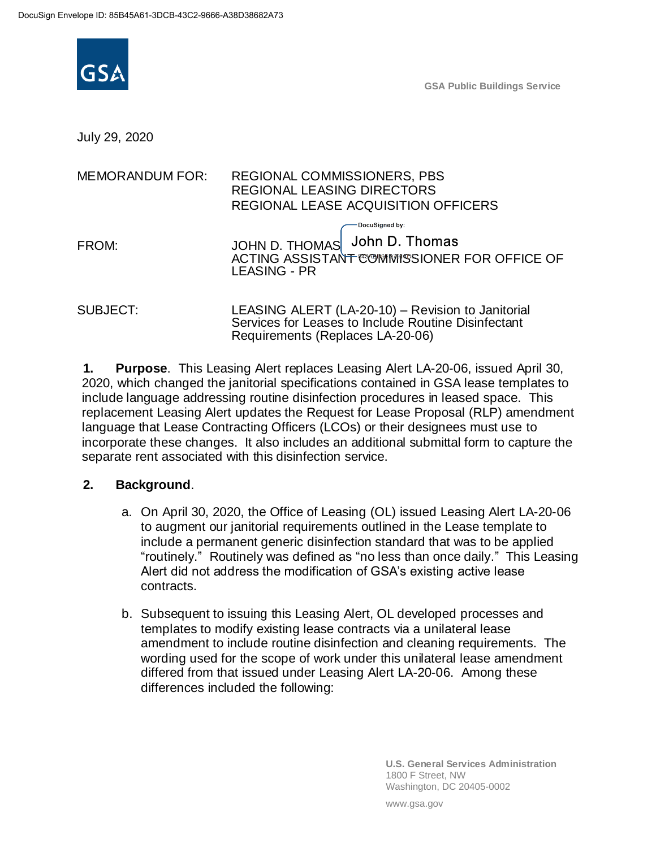

**GSA Public Buildings Service**

July 29, 2020

| <b>MEMORANDUM FOR:</b> | <b>REGIONAL COMMISSIONERS, PBS</b><br><b>REGIONAL LEASING DIRECTORS</b><br>REGIONAL LEASE ACQUISITION OFFICERS                               |
|------------------------|----------------------------------------------------------------------------------------------------------------------------------------------|
| FROM:                  | DocuSigned by:<br>JOHN D. THOMAS John D. Thomas<br>ACTING ASSISTANT COMMISSIONER FOR OFFICE OF<br><b>LEASING - PR</b>                        |
| <b>SUBJECT:</b>        | LEASING ALERT (LA-20-10) - Revision to Janitorial<br>Services for Leases to Include Routine Disinfectant<br>Requirements (Replaces LA-20-06) |

**1. Purpose**. This Leasing Alert replaces Leasing Alert LA-20-06, issued April 30, 2020, which changed the janitorial specifications contained in GSA lease templates to include language addressing routine disinfection procedures in leased space. This replacement Leasing Alert updates the Request for Lease Proposal (RLP) amendment language that Lease Contracting Officers (LCOs) or their designees must use to incorporate these changes. It also includes an additional submittal form to capture the separate rent associated with this disinfection service.

## **2. Background**.

- a. On April 30, 2020, the Office of Leasing (OL) issued Leasing Alert LA-20-06 to augment our janitorial requirements outlined in the Lease template to include a permanent generic disinfection standard that was to be applied "routinely." Routinely was defined as "no less than once daily." This Leasing Alert did not address the modification of GSA's existing active lease contracts.
- b. Subsequent to issuing this Leasing Alert, OL developed processes and templates to modify existing lease contracts via a unilateral lease amendment to include routine disinfection and cleaning requirements. The wording used for the scope of work under this unilateral lease amendment differed from that issued under Leasing Alert LA-20-06. Among these differences included the following:

**U.S. General Services Administration** 1800 F Street, NW Washington, DC 20405-0002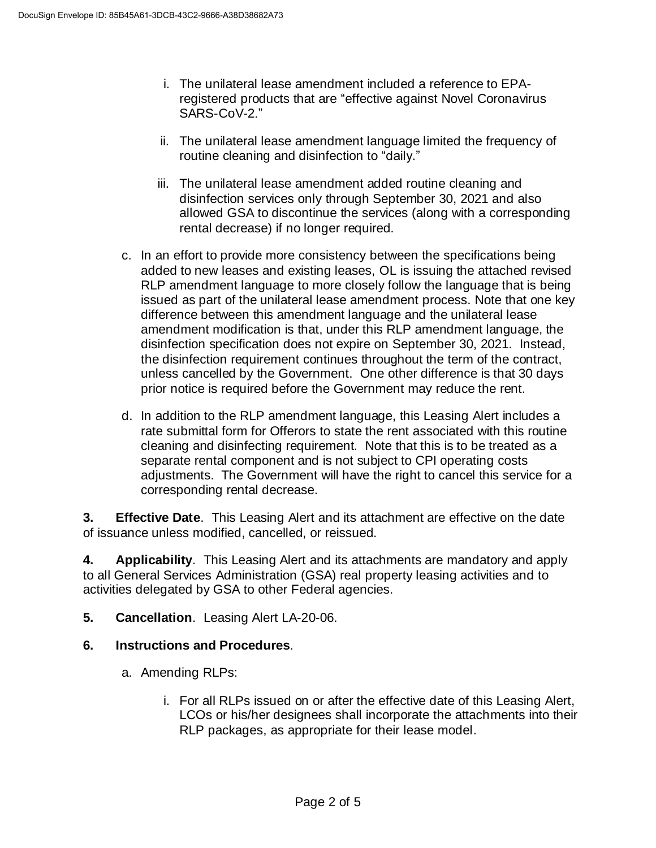- i. The unilateral lease amendment included a reference to EPAregistered products that are "effective against Novel Coronavirus SARS-CoV-2."
- ii. The unilateral lease amendment language limited the frequency of routine cleaning and disinfection to "daily."
- iii. The unilateral lease amendment added routine cleaning and disinfection services only through September 30, 2021 and also allowed GSA to discontinue the services (along with a corresponding rental decrease) if no longer required.
- c. In an effort to provide more consistency between the specifications being added to new leases and existing leases, OL is issuing the attached revised RLP amendment language to more closely follow the language that is being issued as part of the unilateral lease amendment process. Note that one key difference between this amendment language and the unilateral lease amendment modification is that, under this RLP amendment language, the disinfection specification does not expire on September 30, 2021. Instead, the disinfection requirement continues throughout the term of the contract, unless cancelled by the Government. One other difference is that 30 days prior notice is required before the Government may reduce the rent.
- d. In addition to the RLP amendment language, this Leasing Alert includes a rate submittal form for Offerors to state the rent associated with this routine cleaning and disinfecting requirement. Note that this is to be treated as a separate rental component and is not subject to CPI operating costs adjustments. The Government will have the right to cancel this service for a corresponding rental decrease.

**3. Effective Date**. This Leasing Alert and its attachment are effective on the date of issuance unless modified, cancelled, or reissued.

**4. Applicability**. This Leasing Alert and its attachments are mandatory and apply to all General Services Administration (GSA) real property leasing activities and to activities delegated by GSA to other Federal agencies.

**5. Cancellation**. Leasing Alert LA-20-06.

## **6. Instructions and Procedures**.

- a. Amending RLPs:
	- i. For all RLPs issued on or after the effective date of this Leasing Alert, LCOs or his/her designees shall incorporate the attachments into their RLP packages, as appropriate for their lease model.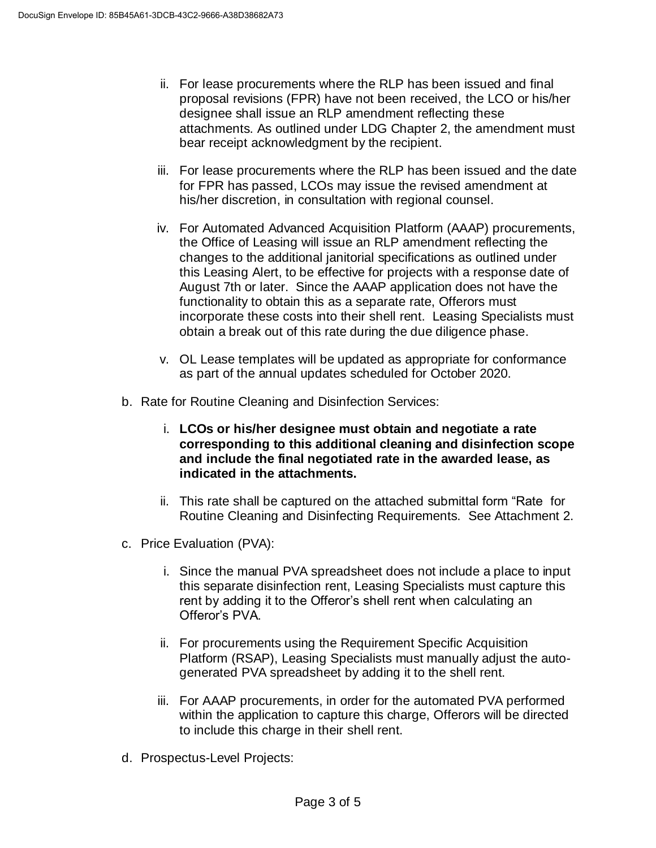- ii. For lease procurements where the RLP has been issued and final proposal revisions (FPR) have not been received, the LCO or his/her designee shall issue an RLP amendment reflecting these attachments. As outlined under LDG Chapter 2, the amendment must bear receipt acknowledgment by the recipient.
- iii. For lease procurements where the RLP has been issued and the date for FPR has passed, LCOs may issue the revised amendment at his/her discretion, in consultation with regional counsel.
- iv. For Automated Advanced Acquisition Platform (AAAP) procurements, the Office of Leasing will issue an RLP amendment reflecting the changes to the additional janitorial specifications as outlined under this Leasing Alert, to be effective for projects with a response date of August 7th or later. Since the AAAP application does not have the functionality to obtain this as a separate rate, Offerors must incorporate these costs into their shell rent. Leasing Specialists must obtain a break out of this rate during the due diligence phase.
- v. OL Lease templates will be updated as appropriate for conformance as part of the annual updates scheduled for October 2020.
- b. Rate for Routine Cleaning and Disinfection Services:
	- i. **LCOs or his/her designee must obtain and negotiate a rate corresponding to this additional cleaning and disinfection scope and include the final negotiated rate in the awarded lease, as indicated in the attachments.**
	- ii. This rate shall be captured on the attached submittal form "Rate for Routine Cleaning and Disinfecting Requirements. See Attachment 2.
- c. Price Evaluation (PVA):
	- i. Since the manual PVA spreadsheet does not include a place to input this separate disinfection rent, Leasing Specialists must capture this rent by adding it to the Offeror's shell rent when calculating an Offeror's PVA.
	- ii. For procurements using the Requirement Specific Acquisition Platform (RSAP), Leasing Specialists must manually adjust the autogenerated PVA spreadsheet by adding it to the shell rent.
	- iii. For AAAP procurements, in order for the automated PVA performed within the application to capture this charge, Offerors will be directed to include this charge in their shell rent.
- d. Prospectus-Level Projects: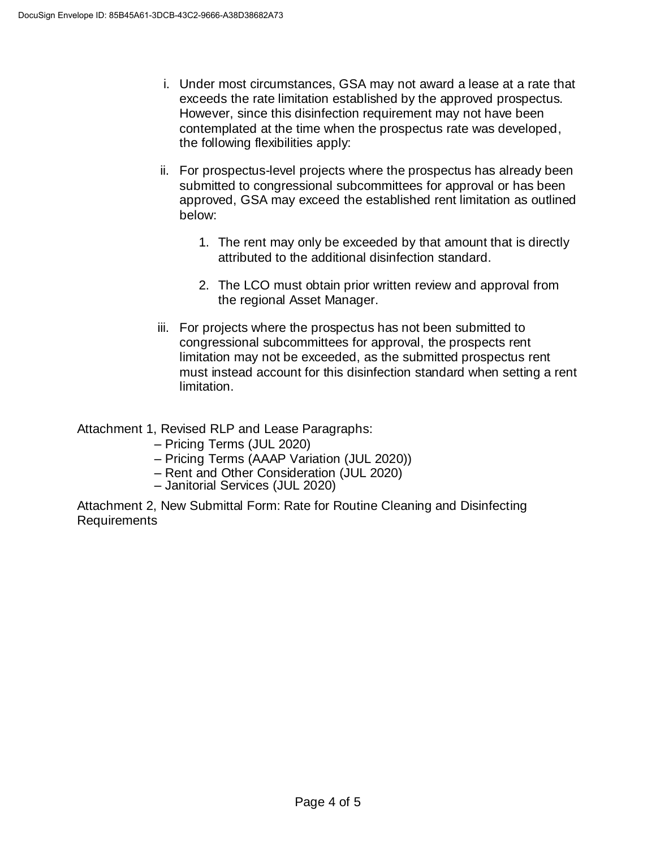- i. Under most circumstances, GSA may not award a lease at a rate that exceeds the rate limitation established by the approved prospectus. However, since this disinfection requirement may not have been contemplated at the time when the prospectus rate was developed, the following flexibilities apply:
- ii. For prospectus-level projects where the prospectus has already been submitted to congressional subcommittees for approval or has been approved, GSA may exceed the established rent limitation as outlined below:
	- 1. The rent may only be exceeded by that amount that is directly attributed to the additional disinfection standard.
	- 2. The LCO must obtain prior written review and approval from the regional Asset Manager.
- iii. For projects where the prospectus has not been submitted to congressional subcommittees for approval, the prospects rent limitation may not be exceeded, as the submitted prospectus rent must instead account for this disinfection standard when setting a rent limitation.

Attachment 1, Revised RLP and Lease Paragraphs:

- Pricing Terms (JUL 2020)
- Pricing Terms (AAAP Variation (JUL 2020))
- Rent and Other Consideration (JUL 2020)
- Janitorial Services (JUL 2020)

Attachment 2, New Submittal Form: Rate for Routine Cleaning and Disinfecting Requirements